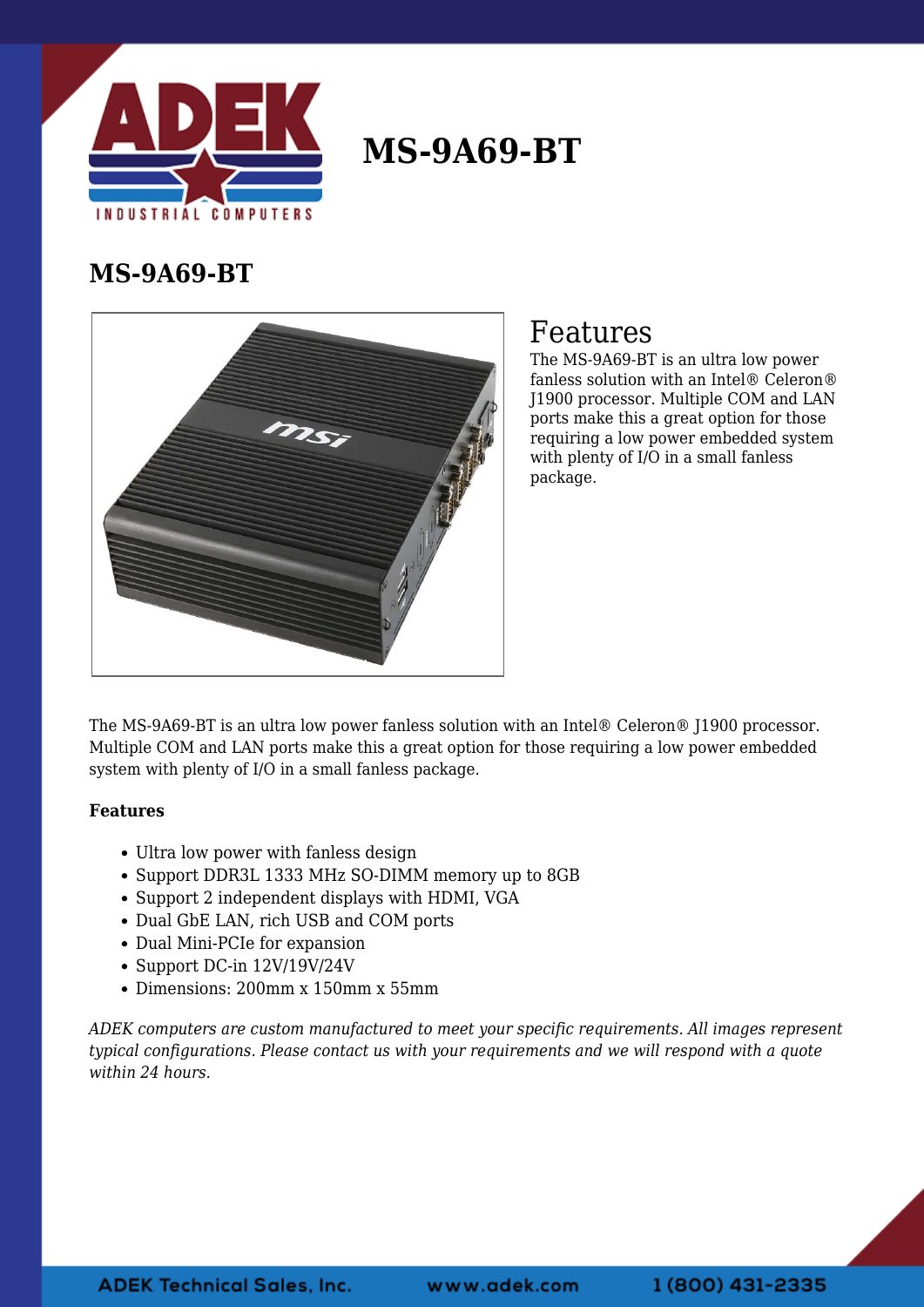

## **MS-9A69-BT**

#### **MS-9A69-BT**



### Features

The MS-9A69-BT is an ultra low power fanless solution with an Intel® Celeron® J1900 processor. Multiple COM and LAN ports make this a great option for those requiring a low power embedded system with plenty of I/O in a small fanless package.

The MS-9A69-BT is an ultra low power fanless solution with an Intel® Celeron® J1900 processor. Multiple COM and LAN ports make this a great option for those requiring a low power embedded system with plenty of I/O in a small fanless package.

#### **Features**

- Ultra low power with fanless design
- Support DDR3L 1333 MHz SO-DIMM memory up to 8GB
- Support 2 independent displays with HDMI, VGA
- Dual GbE LAN, rich USB and COM ports
- Dual Mini-PCIe for expansion
- Support DC-in 12V/19V/24V
- Dimensions: 200mm x 150mm x 55mm

*ADEK computers are custom manufactured to meet your specific requirements. All images represent typical configurations. Please contact us with your requirements and we will respond with a quote within 24 hours.*